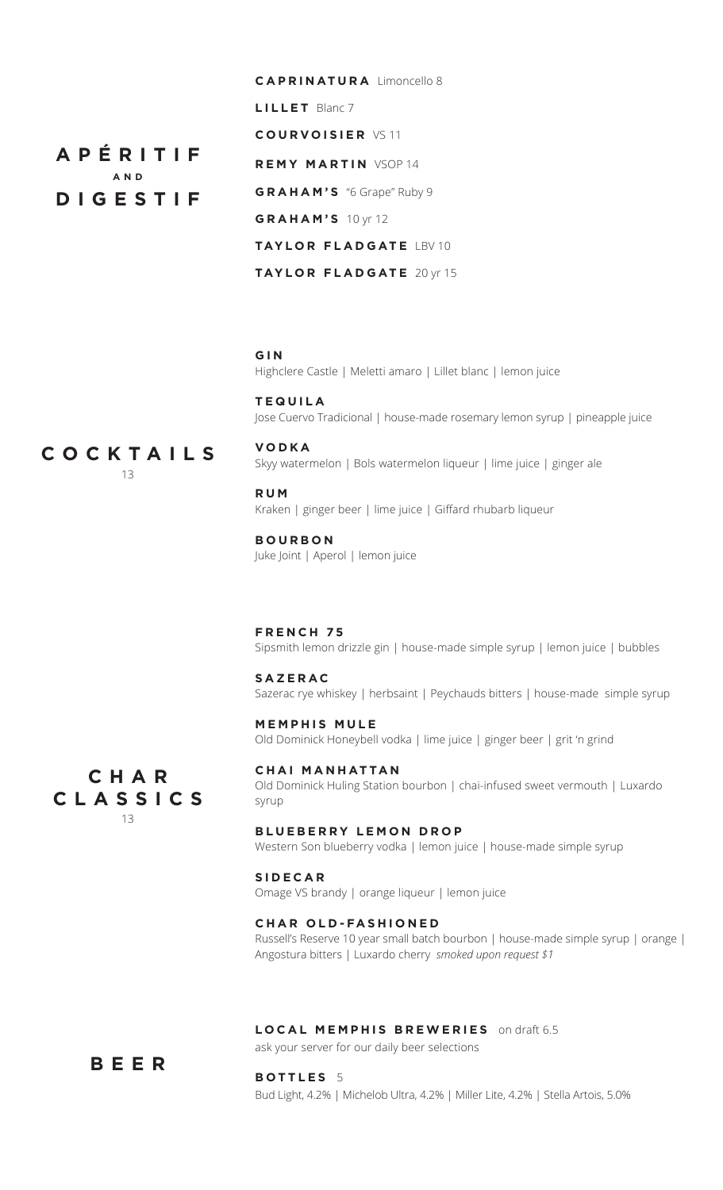**C A P R I N AT U R A** Limoncello 8 **L I L L E T** Blanc 7 **C O U R V O I S I E R** VS 11 **REMY MARTIN VSOP 14 G R A H A M ' S** "6 Grape" Ruby 9 **G R A H A M ' S** 10 yr 12 **taylor f la d gate** LBV 10 **taylor f la d gate** 20 yr 15

# **G I N**

Highclere Castle | Meletti amaro | Lillet blanc | lemon juice

**te q uila** Jose Cuervo Tradicional | house-made rosemary lemon syrup | pineapple juice

COCKTAILS **cocktails** 13

**A p é riti f an d**

**Digesti f**

**V O D K A** Skyy watermelon | Bols watermelon liqueur | lime juice | ginger ale

**RUM** Kraken | ginger beer | lime juice | Giffard rhubarb liqueur

## **B O U R B O N**

Juke Joint | Aperol | lemon juice

**French 7 5** Sipsmith lemon drizzle gin | house-made simple syrup | lemon juice | bubbles

### **S A Z E R A C**

Sazerac rye whiskey | herbsaint | Peychauds bitters | house-made simple syrup

**M E M P H I S M ule** Old Dominick Honeybell vodka | lime juice | ginger beer | grit 'n grind

**C H A R C L A S S I C S** 13

**C H A I manhattan** Old Dominick Huling Station bourbon | chai-infused sweet vermouth | Luxardo syrup

#### **BLUEBERRY LEMON DROP**

Western Son blueberry vodka | lemon juice | house-made simple syrup

#### **si d ecar**

**B ottles** 5

Omage VS brandy | orange liqueur | lemon juice

#### **C H A R O l d - Fashione d**

Russell's Reserve 10 year small batch bourbon | house-made simple syrup | orange | Angostura bitters | Luxardo cherry *smoked upon request \$1*

#### **L ocal memphis bre w eries** on draft 6.5

ask your server for our daily beer selections

# BEER

Bud Light, 4.2% | Michelob Ultra, 4.2% | Miller Lite, 4.2% | Stella Artois, 5.0%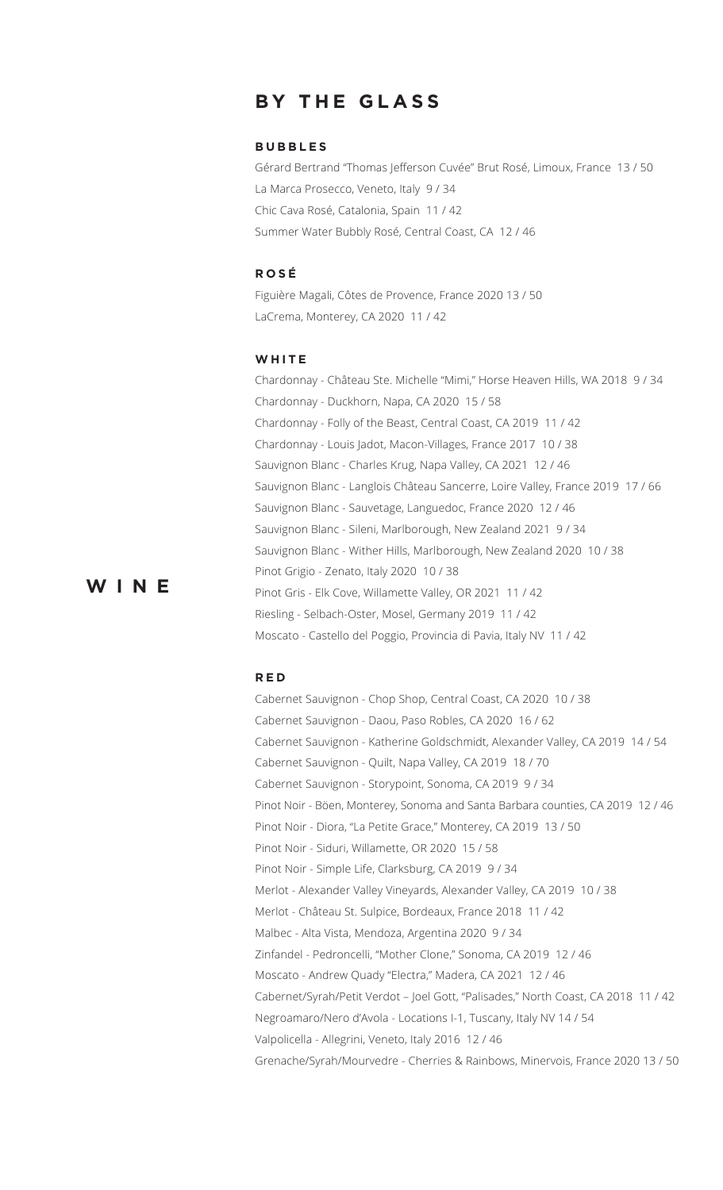# **B y the G lass**

#### **BUBBLES**

Gérard Bertrand "Thomas Jefferson Cuvée" Brut Rosé, Limoux, France 13 / 50 La Marca Prosecco, Veneto, Italy 9 / 34 Chic Cava Rosé, Catalonia, Spain 11 / 42 Summer Water Bubbly Rosé, Central Coast, CA 12 / 46

#### **R os é**

Figuière Magali, Côtes de Provence, France 2020 13 / 50 LaCrema, Monterey, CA 2020 11 / 42

#### **White**

Chardonnay - Château Ste. Michelle "Mimi," Horse Heaven Hills, WA 2018 9 / 34 Chardonnay - Duckhorn, Napa, CA 2020 15 / 58 Chardonnay - Folly of the Beast, Central Coast, CA 2019 11 / 42 Chardonnay - Louis Jadot, Macon-Villages, France 2017 10 / 38 Sauvignon Blanc - Charles Krug, Napa Valley, CA 2021 12 / 46 Sauvignon Blanc - Langlois Château Sancerre, Loire Valley, France 2019 17 / 66 Sauvignon Blanc - Sauvetage, Languedoc, France 2020 12 / 46 Sauvignon Blanc - Sileni, Marlborough, New Zealand 2021 9 / 34 Sauvignon Blanc - Wither Hills, Marlborough, New Zealand 2020 10 / 38 Pinot Grigio - Zenato, Italy 2020 10 / 38 Pinot Gris - Elk Cove, Willamette Valley, OR 2021 11 / 42 Riesling - Selbach-Oster, Mosel, Germany 2019 11 / 42 Moscato - Castello del Poggio, Provincia di Pavia, Italy NV 11 / 42

#### **R e d**

**w ine**

Cabernet Sauvignon - Chop Shop, Central Coast, CA 2020 10 / 38 Cabernet Sauvignon - Daou, Paso Robles, CA 2020 16 / 62 Cabernet Sauvignon - Katherine Goldschmidt, Alexander Valley, CA 2019 14 / 54 Cabernet Sauvignon - Quilt, Napa Valley, CA 2019 18 / 70 Cabernet Sauvignon - Storypoint, Sonoma, CA 2019 9 / 34 Pinot Noir - Böen, Monterey, Sonoma and Santa Barbara counties, CA 2019 12 / 46 Pinot Noir - Diora, "La Petite Grace," Monterey, CA 2019 13 / 50 Pinot Noir - Siduri, Willamette, OR 2020 15 / 58 Pinot Noir - Simple Life, Clarksburg, CA 2019 9 / 34 Merlot - Alexander Valley Vineyards, Alexander Valley, CA 2019 10 / 38 Merlot - Château St. Sulpice, Bordeaux, France 2018 11 / 42 Malbec - Alta Vista, Mendoza, Argentina 2020 9 / 34 Zinfandel - Pedroncelli, "Mother Clone," Sonoma, CA 2019 12 / 46 Moscato - Andrew Quady "Electra," Madera, CA 2021 12 / 46 Cabernet/Syrah/Petit Verdot – Joel Gott, "Palisades," North Coast, CA 2018 11 / 42 Negroamaro/Nero d'Avola - Locations I-1, Tuscany, Italy NV 14 / 54 Valpolicella - Allegrini, Veneto, Italy 2016 12 / 46 Grenache/Syrah/Mourvedre - Cherries & Rainbows, Minervois, France 2020 13 / 50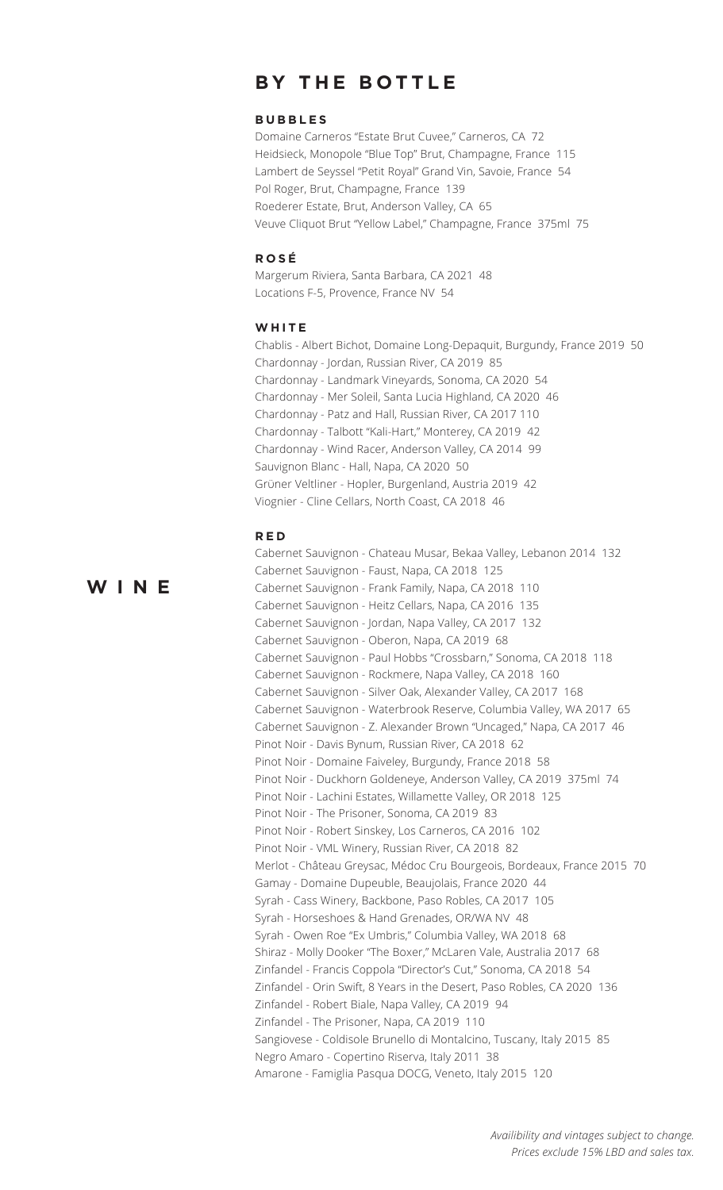# **BY THE BOTTLE**

#### **BUBBLES**

Domaine Carneros "Estate Brut Cuvee," Carneros, CA 72 Heidsieck, Monopole "Blue Top" Brut, Champagne, France 115 Lambert de Seyssel "Petit Royal" Grand Vin, Savoie, France 54 Pol Roger, Brut, Champagne, France 139 Roederer Estate, Brut, Anderson Valley, CA 65 Veuve Cliquot Brut "Yellow Label," Champagne, France 375ml 75

#### **ROSÉ**

Margerum Riviera, Santa Barbara, CA 2021 48 Locations F-5, Provence, France NV 54

#### WHITE

Chablis - Albert Bichot, Domaine Long-Depaquit, Burgundy, France 2019 50 Chardonnay - Jordan, Russian River, CA 2019 85 Chardonnay - Landmark Vineyards, Sonoma, CA 2020 54 Chardonnay - Mer Soleil, Santa Lucia Highland, CA 2020 46 Chardonnay - Patz and Hall, Russian River, CA 2017 110 Chardonnay - Talbott "Kali-Hart," Monterey, CA 2019 42 Chardonnay - Wind Racer, Anderson Valley, CA 2014 99 Sauvignon Blanc - Hall, Napa, CA 2020 50 Grüner Veltliner - Hopler, Burgenland, Austria 2019 42 Viognier - Cline Cellars, North Coast, CA 2018 46

#### **RED**

# WINE

| Cabernet Sauvignon - Chateau Musar, Bekaa Valley, Lebanon 2014 132      |
|-------------------------------------------------------------------------|
| Cabernet Sauvignon - Faust, Napa, CA 2018 125                           |
| Cabernet Sauvignon - Frank Family, Napa, CA 2018 110                    |
| Cabernet Sauvignon - Heitz Cellars, Napa, CA 2016 135                   |
| Cabernet Sauvignon - Jordan, Napa Valley, CA 2017 132                   |
| Cabernet Sauvignon - Oberon, Napa, CA 2019 68                           |
| Cabernet Sauvignon - Paul Hobbs "Crossbarn," Sonoma, CA 2018 118        |
| Cabernet Sauvignon - Rockmere, Napa Valley, CA 2018 160                 |
| Cabernet Sauvignon - Silver Oak, Alexander Valley, CA 2017 168          |
| Cabernet Sauvignon - Waterbrook Reserve, Columbia Valley, WA 2017 65    |
| Cabernet Sauvignon - Z. Alexander Brown "Uncaged," Napa, CA 2017 46     |
| Pinot Noir - Davis Bynum, Russian River, CA 2018 62                     |
| Pinot Noir - Domaine Faiveley, Burgundy, France 2018 58                 |
| Pinot Noir - Duckhorn Goldeneye, Anderson Valley, CA 2019 375ml 74      |
| Pinot Noir - Lachini Estates, Willamette Valley, OR 2018 125            |
| Pinot Noir - The Prisoner, Sonoma, CA 2019 83                           |
| Pinot Noir - Robert Sinskey, Los Carneros, CA 2016 102                  |
| Pinot Noir - VML Winery, Russian River, CA 2018 82                      |
| Merlot - Château Greysac, Médoc Cru Bourgeois, Bordeaux, France 2015 70 |
| Gamay - Domaine Dupeuble, Beaujolais, France 2020 44                    |
| Syrah - Cass Winery, Backbone, Paso Robles, CA 2017 105                 |
| Syrah - Horseshoes & Hand Grenades, OR/WA NV 48                         |
| Syrah - Owen Roe "Ex Umbris," Columbia Valley, WA 2018 68               |
| Shiraz - Molly Dooker "The Boxer," McLaren Vale, Australia 2017 68      |
| Zinfandel - Francis Coppola "Director's Cut," Sonoma, CA 2018 54        |
| Zinfandel - Orin Swift, 8 Years in the Desert, Paso Robles, CA 2020 136 |
| Zinfandel - Robert Biale, Napa Valley, CA 2019 94                       |
| Zinfandel - The Prisoner, Napa, CA 2019 110                             |
| Sangiovese - Coldisole Brunello di Montalcino, Tuscany, Italy 2015 85   |
| Negro Amaro - Copertino Riserva, Italy 2011 38                          |
| Amarone - Famiglia Pasqua DOCG, Veneto, Italy 2015 120                  |
|                                                                         |